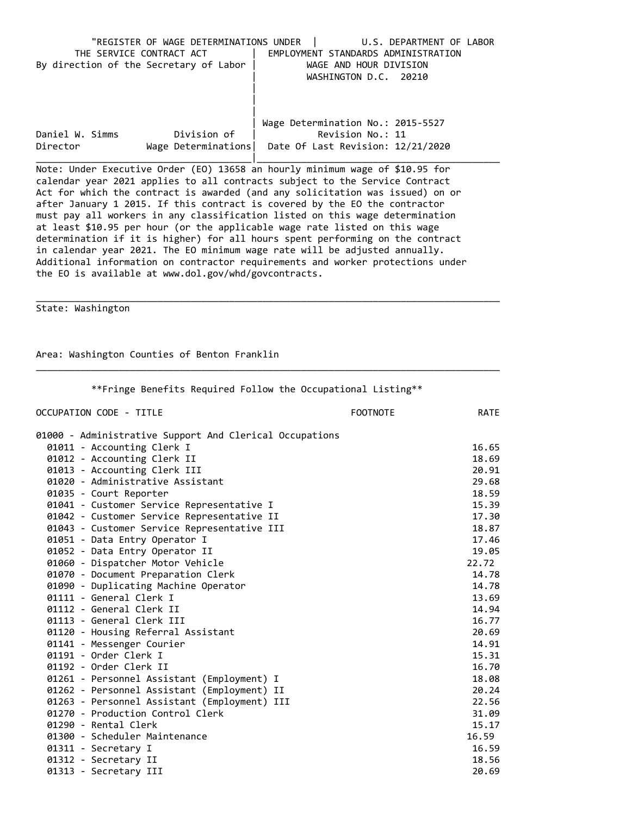|                                        | "REGISTER OF WAGE DETERMINATIONS UNDER | U.S. DEPARTMENT OF LABOR            |
|----------------------------------------|----------------------------------------|-------------------------------------|
| THE SERVICE CONTRACT ACT               |                                        | EMPLOYMENT STANDARDS ADMINISTRATION |
| By direction of the Secretary of Labor |                                        | WAGE AND HOUR DIVISION              |
|                                        |                                        | WASHINGTON D.C. 20210               |
|                                        |                                        |                                     |
|                                        |                                        |                                     |
|                                        |                                        |                                     |
|                                        |                                        | Wage Determination No.: 2015-5527   |
| Daniel W. Simms                        | Division of                            | Revision No.: 11                    |
| Director                               | Wage Determinations                    | Date Of Last Revision: 12/21/2020   |
|                                        |                                        |                                     |

Note: Under Executive Order (EO) 13658 an hourly minimum wage of \$10.95 for calendar year 2021 applies to all contracts subject to the Service Contract Act for which the contract is awarded (and any solicitation was issued) on or after January 1 2015. If this contract is covered by the EO the contractor must pay all workers in any classification listed on this wage determination at least \$10.95 per hour (or the applicable wage rate listed on this wage determination if it is higher) for all hours spent performing on the contract in calendar year 2021. The EO minimum wage rate will be adjusted annually. Additional information on contractor requirements and worker protections under the EO is available at www.dol.gov/whd/govcontracts.

State: Washington

Area: Washington Counties of Benton Franklin

| OCCUPATION CODE - TITLE                                 | <b>FOOTNOTE</b> | <b>RATE</b> |
|---------------------------------------------------------|-----------------|-------------|
| 01000 - Administrative Support And Clerical Occupations |                 |             |
| 01011 - Accounting Clerk I                              |                 | 16.65       |
| 01012 - Accounting Clerk II                             |                 | 18.69       |
| 01013 - Accounting Clerk III                            |                 | 20.91       |
| 01020 - Administrative Assistant                        |                 | 29.68       |
| 01035 - Court Reporter                                  |                 | 18.59       |
| 01041 - Customer Service Representative I               |                 | 15.39       |
| 01042 - Customer Service Representative II              |                 | 17.30       |
| 01043 - Customer Service Representative III             |                 | 18.87       |
| 01051 - Data Entry Operator I                           |                 | 17.46       |
| 01052 - Data Entry Operator II                          |                 | 19.05       |
| 01060 - Dispatcher Motor Vehicle                        |                 | 22.72       |
| 01070 - Document Preparation Clerk                      |                 | 14.78       |
| 01090 - Duplicating Machine Operator                    |                 | 14.78       |
| 01111 - General Clerk I                                 |                 | 13.69       |
| 01112 - General Clerk II                                |                 | 14.94       |
| 01113 - General Clerk III                               |                 | 16.77       |
| 01120 - Housing Referral Assistant                      |                 | 20.69       |
| 01141 - Messenger Courier                               |                 | 14.91       |
| 01191 - Order Clerk I                                   |                 | 15.31       |
| 01192 - Order Clerk II                                  |                 | 16.70       |
| 01261 - Personnel Assistant (Employment) I              |                 | 18.08       |
| 01262 - Personnel Assistant (Employment) II             |                 | 20.24       |
| 01263 - Personnel Assistant (Employment) III            |                 | 22.56       |
| 01270 - Production Control Clerk                        |                 | 31.09       |
| 01290 - Rental Clerk                                    |                 | 15.17       |
| 01300 - Scheduler Maintenance                           |                 | 16.59       |
| 01311 - Secretary I                                     |                 | 16.59       |
| 01312 - Secretary II                                    |                 | 18.56       |
| 01313 - Secretary III                                   |                 | 20.69       |

\*\*Fringe Benefits Required Follow the Occupational Listing\*\*

\_\_\_\_\_\_\_\_\_\_\_\_\_\_\_\_\_\_\_\_\_\_\_\_\_\_\_\_\_\_\_\_\_\_\_\_\_\_\_\_\_\_\_\_\_\_\_\_\_\_\_\_\_\_\_\_\_\_\_\_\_\_\_\_\_\_\_\_\_\_\_\_\_\_\_\_\_\_\_\_\_\_\_\_

\_\_\_\_\_\_\_\_\_\_\_\_\_\_\_\_\_\_\_\_\_\_\_\_\_\_\_\_\_\_\_\_\_\_\_\_\_\_\_\_\_\_\_\_\_\_\_\_\_\_\_\_\_\_\_\_\_\_\_\_\_\_\_\_\_\_\_\_\_\_\_\_\_\_\_\_\_\_\_\_\_\_\_\_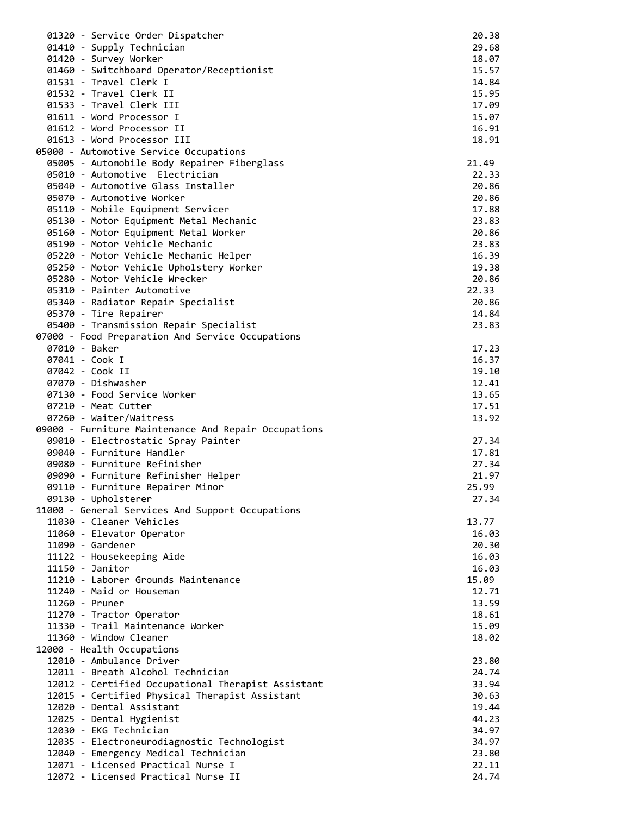| 01320 - Service Order Dispatcher                                                | 20.38          |
|---------------------------------------------------------------------------------|----------------|
| 01410 - Supply Technician                                                       | 29.68          |
| 01420 - Survey Worker                                                           | 18.07          |
| 01460 - Switchboard Operator/Receptionist                                       | 15.57          |
| 01531 - Travel Clerk I                                                          | 14.84          |
| 01532 - Travel Clerk II                                                         | 15.95          |
| 01533 - Travel Clerk III                                                        | 17.09          |
| 01611 - Word Processor I                                                        | 15.07          |
| 01612 - Word Processor II                                                       | 16.91          |
| 01613 - Word Processor III                                                      | 18.91          |
| 05000 - Automotive Service Occupations                                          |                |
| 05005 - Automobile Body Repairer Fiberglass                                     | 21.49          |
| 05010 - Automotive Electrician                                                  | 22.33          |
| 05040 - Automotive Glass Installer                                              | 20.86          |
| 05070 - Automotive Worker                                                       | 20.86          |
| 05110 - Mobile Equipment Servicer                                               | 17.88          |
| 05130 - Motor Equipment Metal Mechanic                                          | 23.83          |
| 05160 - Motor Equipment Metal Worker                                            | 20.86          |
| 05190 - Motor Vehicle Mechanic                                                  | 23.83          |
| 05220 - Motor Vehicle Mechanic Helper                                           | 16.39          |
| 05250 - Motor Vehicle Upholstery Worker                                         | 19.38          |
| 05280 - Motor Vehicle Wrecker                                                   | 20.86          |
| 05310 - Painter Automotive                                                      | 22.33          |
| 05340 - Radiator Repair Specialist                                              | 20.86          |
| 05370 - Tire Repairer                                                           | 14.84          |
| 05400 - Transmission Repair Specialist                                          | 23.83          |
| 07000 - Food Preparation And Service Occupations                                |                |
| 07010 - Baker                                                                   | 17.23          |
| 07041 - Cook I                                                                  | 16.37          |
| 07042 - Cook II                                                                 | 19.10          |
| 07070 - Dishwasher                                                              | 12.41          |
| 07130 - Food Service Worker                                                     | 13.65          |
| 07210 - Meat Cutter                                                             | 17.51<br>13.92 |
| 07260 - Waiter/Waitress<br>09000 - Furniture Maintenance And Repair Occupations |                |
| 09010 - Electrostatic Spray Painter                                             | 27.34          |
| 09040 - Furniture Handler                                                       | 17.81          |
| 09080 - Furniture Refinisher                                                    | 27.34          |
| 09090 - Furniture Refinisher Helper                                             | 21.97          |
| 09110 - Furniture Repairer Minor                                                | 25.99          |
| 09130 - Upholsterer                                                             | 27.34          |
| 11000 - General Services And Support Occupations                                |                |
| 11030 - Cleaner Vehicles                                                        | 13.77          |
| 11060 - Elevator Operator                                                       | 16.03          |
| 11090 - Gardener                                                                | 20.30          |
| 11122 - Housekeeping Aide                                                       | 16.03          |
| 11150 - Janitor                                                                 | 16.03          |
| 11210 - Laborer Grounds Maintenance                                             | 15.09          |
| 11240 - Maid or Houseman                                                        | 12.71          |
| 11260 - Pruner                                                                  | 13.59          |
| 11270 - Tractor Operator                                                        | 18.61          |
| 11330 - Trail Maintenance Worker                                                | 15.09          |
| 11360 - Window Cleaner                                                          | 18.02          |
| 12000 - Health Occupations                                                      |                |
| 12010 - Ambulance Driver                                                        | 23.80          |
| 12011 - Breath Alcohol Technician                                               | 24.74          |
| 12012 - Certified Occupational Therapist Assistant                              | 33.94          |
| 12015 - Certified Physical Therapist Assistant                                  | 30.63          |
| 12020 - Dental Assistant                                                        | 19.44          |
| 12025 - Dental Hygienist                                                        | 44.23          |
| 12030 - EKG Technician                                                          | 34.97          |
| 12035 - Electroneurodiagnostic Technologist                                     | 34.97          |
| 12040 - Emergency Medical Technician                                            | 23.80          |
| 12071 - Licensed Practical Nurse I                                              | 22.11          |
| 12072 - Licensed Practical Nurse II                                             | 24.74          |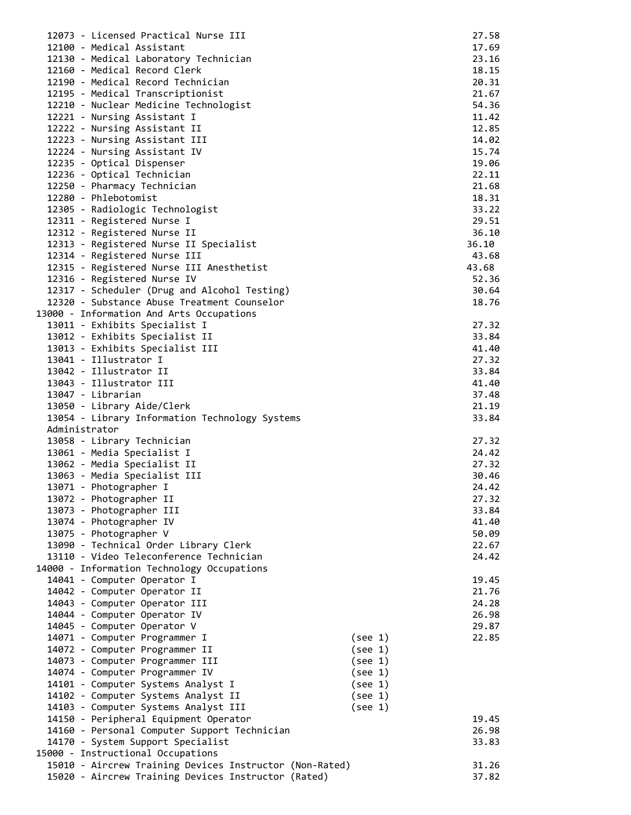| 12073 - Licensed Practical Nurse III                    |         | 27.58 |
|---------------------------------------------------------|---------|-------|
| 12100 - Medical Assistant                               |         | 17.69 |
| 12130 - Medical Laboratory Technician                   |         | 23.16 |
| 12160 - Medical Record Clerk                            |         | 18.15 |
| 12190 - Medical Record Technician                       |         | 20.31 |
| 12195 - Medical Transcriptionist                        |         | 21.67 |
| 12210 - Nuclear Medicine Technologist                   |         | 54.36 |
| 12221 - Nursing Assistant I                             |         | 11.42 |
| 12222 - Nursing Assistant II                            |         | 12.85 |
| 12223 - Nursing Assistant III                           |         | 14.02 |
|                                                         |         | 15.74 |
| 12224 - Nursing Assistant IV                            |         |       |
| 12235 - Optical Dispenser                               |         | 19.06 |
| 12236 - Optical Technician                              |         | 22.11 |
| 12250 - Pharmacy Technician                             |         | 21.68 |
| 12280 - Phlebotomist                                    |         | 18.31 |
| 12305 - Radiologic Technologist                         |         | 33.22 |
| 12311 - Registered Nurse I                              |         | 29.51 |
| 12312 - Registered Nurse II                             |         | 36.10 |
| 12313 - Registered Nurse II Specialist                  | 36.10   |       |
| 12314 - Registered Nurse III                            |         | 43.68 |
| 12315 - Registered Nurse III Anesthetist                | 43.68   |       |
| 12316 - Registered Nurse IV                             |         | 52.36 |
| 12317 - Scheduler (Drug and Alcohol Testing)            |         | 30.64 |
| 12320 - Substance Abuse Treatment Counselor             |         | 18.76 |
| 13000 - Information And Arts Occupations                |         |       |
| 13011 - Exhibits Specialist I                           |         | 27.32 |
| 13012 - Exhibits Specialist II                          |         | 33.84 |
| 13013 - Exhibits Specialist III                         |         | 41.40 |
| 13041 - Illustrator I                                   |         | 27.32 |
| 13042 - Illustrator II                                  |         | 33.84 |
|                                                         |         |       |
| 13043 - Illustrator III                                 |         | 41.40 |
| 13047 - Librarian                                       |         | 37.48 |
| 13050 - Library Aide/Clerk                              |         | 21.19 |
| 13054 - Library Information Technology Systems          |         | 33.84 |
| Administrator                                           |         |       |
| 13058 - Library Technician                              |         | 27.32 |
| 13061 - Media Specialist I                              |         | 24.42 |
| 13062 - Media Specialist II                             |         | 27.32 |
| 13063 - Media Specialist III                            |         | 30.46 |
| 13071 - Photographer I                                  |         | 24.42 |
| 13072 - Photographer II                                 |         | 27.32 |
| 13073 - Photographer III                                |         | 33.84 |
| 13074 - Photographer IV                                 |         | 41.40 |
| 13075 - Photographer V                                  |         | 50.09 |
| 13090 - Technical Order Library Clerk                   |         | 22.67 |
| 13110 - Video Teleconference Technician                 |         | 24.42 |
| 14000 - Information Technology Occupations              |         |       |
| 14041 - Computer Operator I                             |         | 19.45 |
| 14042 - Computer Operator II                            |         | 21.76 |
| 14043 - Computer Operator III                           |         | 24.28 |
|                                                         |         |       |
| 14044 - Computer Operator IV                            |         | 26.98 |
| 14045 - Computer Operator V                             |         | 29.87 |
| 14071 - Computer Programmer I                           | (see 1) | 22.85 |
| 14072 - Computer Programmer II                          | (see 1) |       |
| 14073 - Computer Programmer III                         | (see 1) |       |
| 14074 - Computer Programmer IV                          | (see 1) |       |
| 14101 - Computer Systems Analyst I                      | (see 1) |       |
| 14102 - Computer Systems Analyst II                     | (see 1) |       |
| 14103 - Computer Systems Analyst III                    | (see 1) |       |
| 14150 - Peripheral Equipment Operator                   |         | 19.45 |
| 14160 - Personal Computer Support Technician            |         | 26.98 |
| 14170 - System Support Specialist                       |         | 33.83 |
| 15000 - Instructional Occupations                       |         |       |
| 15010 - Aircrew Training Devices Instructor (Non-Rated) |         | 31.26 |
| 15020 - Aircrew Training Devices Instructor (Rated)     |         | 37.82 |
|                                                         |         |       |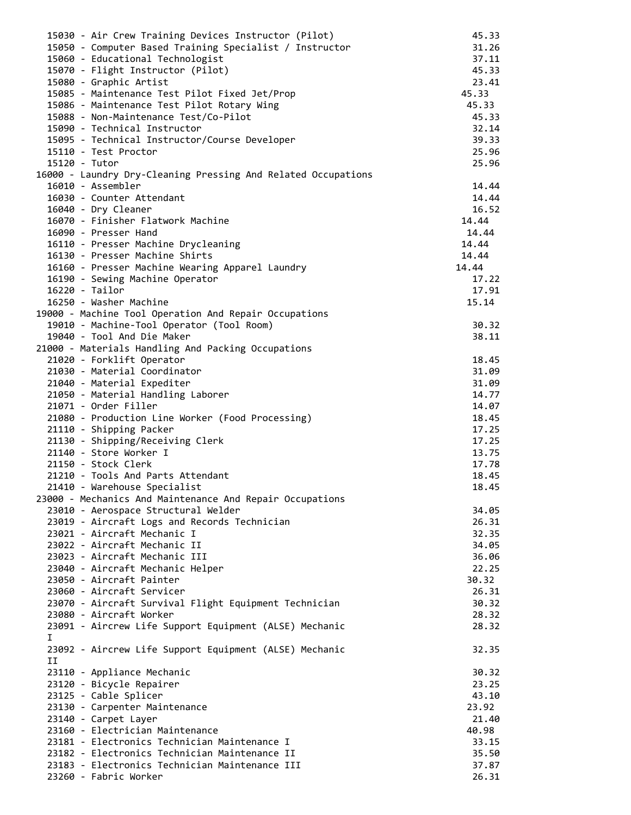|    | 15030 - Air Crew Training Devices Instructor (Pilot)          | 45.33 |
|----|---------------------------------------------------------------|-------|
|    | 15050 - Computer Based Training Specialist / Instructor       | 31.26 |
|    | 15060 - Educational Technologist                              | 37.11 |
|    | 15070 - Flight Instructor (Pilot)                             | 45.33 |
|    | 15080 - Graphic Artist                                        | 23.41 |
|    | 15085 - Maintenance Test Pilot Fixed Jet/Prop                 | 45.33 |
|    | 15086 - Maintenance Test Pilot Rotary Wing                    | 45.33 |
|    | 15088 - Non-Maintenance Test/Co-Pilot                         | 45.33 |
|    | 15090 - Technical Instructor                                  | 32.14 |
|    | 15095 - Technical Instructor/Course Developer                 | 39.33 |
|    | 15110 - Test Proctor                                          | 25.96 |
|    | 15120 - Tutor                                                 | 25.96 |
|    | 16000 - Laundry Dry-Cleaning Pressing And Related Occupations |       |
|    | 16010 - Assembler                                             | 14.44 |
|    | 16030 - Counter Attendant                                     | 14.44 |
|    | 16040 - Dry Cleaner                                           | 16.52 |
|    | 16070 - Finisher Flatwork Machine                             | 14.44 |
|    | 16090 - Presser Hand                                          | 14.44 |
|    | 16110 - Presser Machine Drycleaning                           | 14.44 |
|    | 16130 - Presser Machine Shirts                                | 14.44 |
|    | 16160 - Presser Machine Wearing Apparel Laundry               | 14.44 |
|    |                                                               |       |
|    | 16190 - Sewing Machine Operator                               | 17.22 |
|    | 16220 - Tailor                                                | 17.91 |
|    | 16250 - Washer Machine                                        | 15.14 |
|    | 19000 - Machine Tool Operation And Repair Occupations         |       |
|    | 19010 - Machine-Tool Operator (Tool Room)                     | 30.32 |
|    | 19040 - Tool And Die Maker                                    | 38.11 |
|    | 21000 - Materials Handling And Packing Occupations            |       |
|    | 21020 - Forklift Operator                                     | 18.45 |
|    | 21030 - Material Coordinator                                  | 31.09 |
|    | 21040 - Material Expediter                                    | 31.09 |
|    | 21050 - Material Handling Laborer                             | 14.77 |
|    | 21071 - Order Filler                                          | 14.07 |
|    | 21080 - Production Line Worker (Food Processing)              | 18.45 |
|    | 21110 - Shipping Packer                                       | 17.25 |
|    | 21130 - Shipping/Receiving Clerk                              | 17.25 |
|    | 21140 - Store Worker I                                        | 13.75 |
|    | 21150 - Stock Clerk                                           | 17.78 |
|    | 21210 - Tools And Parts Attendant                             | 18.45 |
|    | 21410 - Warehouse Specialist                                  | 18.45 |
|    | 23000 - Mechanics And Maintenance And Repair Occupations      |       |
|    | 23010 - Aerospace Structural Welder                           | 34.05 |
|    | 23019 - Aircraft Logs and Records Technician                  | 26.31 |
|    | 23021 - Aircraft Mechanic I                                   | 32.35 |
|    | 23022 - Aircraft Mechanic II                                  | 34.05 |
|    | 23023 - Aircraft Mechanic III                                 |       |
|    |                                                               | 36.06 |
|    | 23040 - Aircraft Mechanic Helper                              | 22.25 |
|    | 23050 - Aircraft Painter                                      | 30.32 |
|    | 23060 - Aircraft Servicer                                     | 26.31 |
|    | 23070 - Aircraft Survival Flight Equipment Technician         | 30.32 |
|    | 23080 - Aircraft Worker                                       | 28.32 |
|    | 23091 - Aircrew Life Support Equipment (ALSE) Mechanic        | 28.32 |
| I. |                                                               |       |
|    | 23092 - Aircrew Life Support Equipment (ALSE) Mechanic        | 32.35 |
| IJ |                                                               |       |
|    | 23110 - Appliance Mechanic                                    | 30.32 |
|    | 23120 - Bicycle Repairer                                      | 23.25 |
|    | 23125 - Cable Splicer                                         | 43.10 |
|    | 23130 - Carpenter Maintenance                                 | 23.92 |
|    | 23140 - Carpet Layer                                          | 21.40 |
|    | 23160 - Electrician Maintenance                               | 40.98 |
|    | 23181 - Electronics Technician Maintenance I                  | 33.15 |
|    | 23182 - Electronics Technician Maintenance II                 | 35.50 |
|    | 23183 - Electronics Technician Maintenance III                | 37.87 |
|    | 23260 - Fabric Worker                                         | 26.31 |
|    |                                                               |       |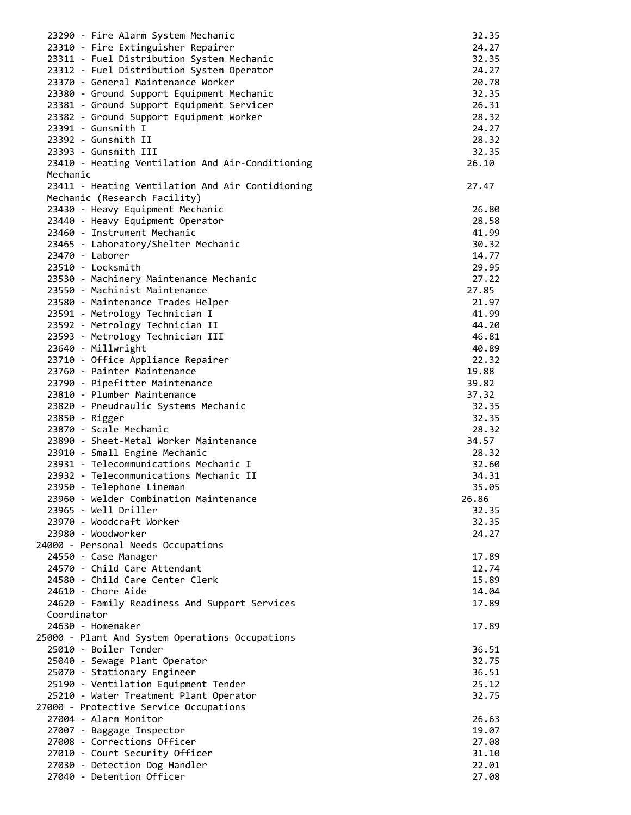| 23290 - Fire Alarm System Mechanic               | 32.35 |
|--------------------------------------------------|-------|
| 23310 - Fire Extinguisher Repairer               | 24.27 |
| 23311 - Fuel Distribution System Mechanic        | 32.35 |
|                                                  |       |
| 23312 - Fuel Distribution System Operator        | 24.27 |
| 23370 - General Maintenance Worker               | 20.78 |
| 23380 - Ground Support Equipment Mechanic        | 32.35 |
|                                                  |       |
| 23381 - Ground Support Equipment Servicer        | 26.31 |
| 23382 - Ground Support Equipment Worker          | 28.32 |
| 23391 - Gunsmith I                               | 24.27 |
|                                                  |       |
| 23392 - Gunsmith II                              | 28.32 |
| 23393 - Gunsmith III                             | 32.35 |
| 23410 - Heating Ventilation And Air-Conditioning | 26.10 |
|                                                  |       |
| Mechanic                                         |       |
| 23411 - Heating Ventilation And Air Contidioning | 27.47 |
| Mechanic (Research Facility)                     |       |
|                                                  |       |
| 23430 - Heavy Equipment Mechanic                 | 26.80 |
| 23440 - Heavy Equipment Operator                 | 28.58 |
| 23460 - Instrument Mechanic                      | 41.99 |
|                                                  |       |
| 23465 - Laboratory/Shelter Mechanic              | 30.32 |
| 23470 - Laborer                                  | 14.77 |
| 23510 - Locksmith                                | 29.95 |
|                                                  | 27.22 |
| 23530 - Machinery Maintenance Mechanic           |       |
| 23550 - Machinist Maintenance                    | 27.85 |
| 23580 - Maintenance Trades Helper                | 21.97 |
|                                                  |       |
| 23591 - Metrology Technician I                   | 41.99 |
| 23592 - Metrology Technician II                  | 44.20 |
| 23593 - Metrology Technician III                 | 46.81 |
|                                                  |       |
| 23640 - Millwright                               | 40.89 |
| 23710 - Office Appliance Repairer                | 22.32 |
| 23760 - Painter Maintenance                      | 19.88 |
|                                                  |       |
| 23790 - Pipefitter Maintenance                   | 39.82 |
| 23810 - Plumber Maintenance                      | 37.32 |
| 23820 - Pneudraulic Systems Mechanic             | 32.35 |
|                                                  |       |
| 23850 - Rigger                                   | 32.35 |
| 23870 - Scale Mechanic                           | 28.32 |
| 23890 - Sheet-Metal Worker Maintenance           | 34.57 |
|                                                  |       |
| 23910 - Small Engine Mechanic                    | 28.32 |
| 23931 - Telecommunications Mechanic I            | 32.60 |
| 23932 - Telecommunications Mechanic II           | 34.31 |
|                                                  | 35.05 |
| 23950 - Telephone Lineman                        |       |
| 23960 - Welder Combination Maintenance           | 26.86 |
| 23965 - Well Driller                             | 32.35 |
| 23970 - Woodcraft Worker                         | 32.35 |
|                                                  |       |
| 23980 - Woodworker                               | 24.27 |
| 24000 - Personal Needs Occupations               |       |
| 24550 - Case Manager                             | 17.89 |
|                                                  |       |
| 24570 - Child Care Attendant                     | 12.74 |
| 24580 - Child Care Center Clerk                  | 15.89 |
| 24610 - Chore Aide                               | 14.04 |
|                                                  |       |
| 24620 - Family Readiness And Support Services    | 17.89 |
| Coordinator                                      |       |
| 24630 - Homemaker                                | 17.89 |
|                                                  |       |
| 25000 - Plant And System Operations Occupations  |       |
| 25010 - Boiler Tender                            | 36.51 |
| 25040 - Sewage Plant Operator                    | 32.75 |
|                                                  |       |
| 25070 - Stationary Engineer                      | 36.51 |
| 25190 - Ventilation Equipment Tender             | 25.12 |
| 25210 - Water Treatment Plant Operator           | 32.75 |
|                                                  |       |
| 27000 - Protective Service Occupations           |       |
| 27004 - Alarm Monitor                            | 26.63 |
| 27007 - Baggage Inspector                        | 19.07 |
| 27008 - Corrections Officer                      | 27.08 |
|                                                  |       |
| 27010 - Court Security Officer                   | 31.10 |
| 27030 - Detection Dog Handler                    | 22.01 |
| 27040 - Detention Officer                        | 27.08 |
|                                                  |       |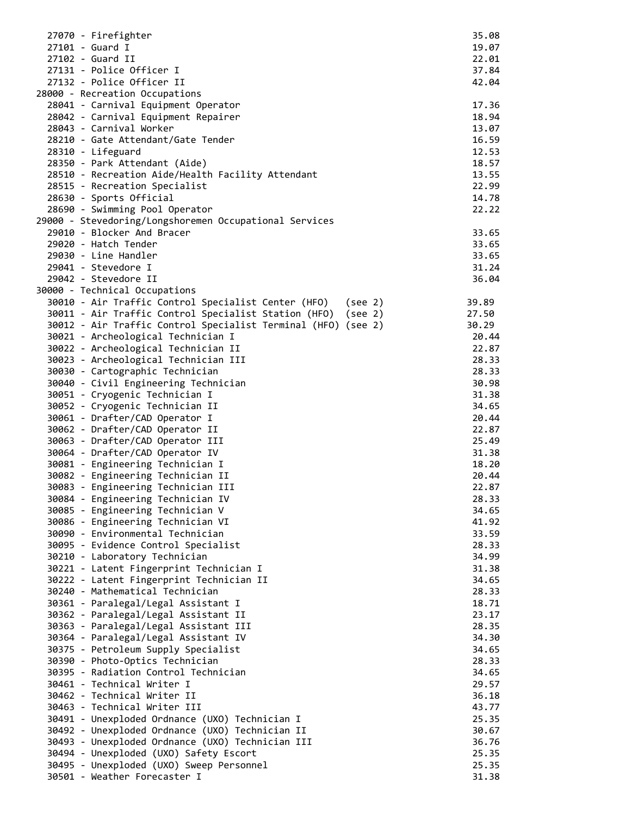| 27070 - Firefighter                                                         | 35.08          |
|-----------------------------------------------------------------------------|----------------|
| 27101 - Guard I                                                             | 19.07          |
| 27102 - Guard II                                                            | 22.01          |
| 27131 - Police Officer I                                                    | 37.84          |
| 27132 - Police Officer II                                                   | 42.04          |
| 28000 - Recreation Occupations                                              |                |
| 28041 - Carnival Equipment Operator                                         | 17.36          |
| 28042 - Carnival Equipment Repairer                                         | 18.94          |
| 28043 - Carnival Worker                                                     | 13.07          |
| 28210 - Gate Attendant/Gate Tender                                          | 16.59          |
| 28310 - Lifeguard                                                           | 12.53          |
| 28350 - Park Attendant (Aide)                                               | 18.57          |
| 28510 - Recreation Aide/Health Facility Attendant                           | 13.55          |
| 28515 - Recreation Specialist                                               | 22.99          |
| 28630 - Sports Official                                                     | 14.78          |
| 28690 - Swimming Pool Operator                                              | 22.22          |
| 29000 - Stevedoring/Longshoremen Occupational Services                      |                |
| 29010 - Blocker And Bracer                                                  | 33.65          |
| 29020 - Hatch Tender                                                        | 33.65          |
| 29030 - Line Handler                                                        | 33.65          |
| 29041 - Stevedore I                                                         | 31.24          |
| 29042 - Stevedore II                                                        | 36.04          |
| 30000 - Technical Occupations                                               |                |
| 30010 - Air Traffic Control Specialist Center (HFO) (see 2)                 | 39.89          |
| 30011 - Air Traffic Control Specialist Station (HFO) (see 2)                | 27.50          |
| 30012 - Air Traffic Control Specialist Terminal (HFO) (see 2)               | 30.29          |
| 30021 - Archeological Technician I                                          | 20.44          |
| 30022 - Archeological Technician II                                         | 22.87          |
| 30023 - Archeological Technician III                                        | 28.33          |
| 30030 - Cartographic Technician                                             | 28.33          |
| 30040 - Civil Engineering Technician                                        | 30.98          |
| 30051 - Cryogenic Technician I                                              | 31.38          |
| 30052 - Cryogenic Technician II                                             | 34.65          |
| 30061 - Drafter/CAD Operator I                                              | 20.44          |
| 30062 - Drafter/CAD Operator II                                             | 22.87          |
| 30063 - Drafter/CAD Operator III                                            | 25.49          |
| 30064 - Drafter/CAD Operator IV                                             | 31.38          |
| 30081 - Engineering Technician I                                            | 18.20          |
| 30082 - Engineering Technician II                                           | 20.44          |
| 30083 - Engineering Technician III                                          | 22.87          |
| 30084 - Engineering Technician IV                                           | 28.33          |
| 30085 - Engineering Technician V                                            | 34.65          |
| 30086 - Engineering Technician VI                                           | 41.92          |
| 30090 - Environmental Technician                                            | 33.59          |
| 30095 - Evidence Control Specialist                                         | 28.33          |
| 30210 - Laboratory Technician                                               | 34.99          |
| 30221 - Latent Fingerprint Technician I                                     | 31.38          |
| 30222 - Latent Fingerprint Technician II<br>30240 - Mathematical Technician | 34.65          |
|                                                                             | 28.33          |
| 30361 - Paralegal/Legal Assistant I                                         | 18.71          |
| 30362 - Paralegal/Legal Assistant II                                        | 23.17          |
| 30363 - Paralegal/Legal Assistant III                                       | 28.35          |
| 30364 - Paralegal/Legal Assistant IV                                        | 34.30          |
| 30375 - Petroleum Supply Specialist                                         | 34.65          |
| 30390 - Photo-Optics Technician<br>30395 - Radiation Control Technician     | 28.33<br>34.65 |
| 30461 - Technical Writer I                                                  | 29.57          |
| 30462 - Technical Writer II                                                 | 36.18          |
| 30463 - Technical Writer III                                                | 43.77          |
| 30491 - Unexploded Ordnance (UXO) Technician I                              | 25.35          |
| 30492 - Unexploded Ordnance (UXO) Technician II                             | 30.67          |
| 30493 - Unexploded Ordnance (UXO) Technician III                            | 36.76          |
| 30494 - Unexploded (UXO) Safety Escort                                      | 25.35          |
| 30495 - Unexploded (UXO) Sweep Personnel                                    | 25.35          |
| 30501 - Weather Forecaster I                                                | 31.38          |
|                                                                             |                |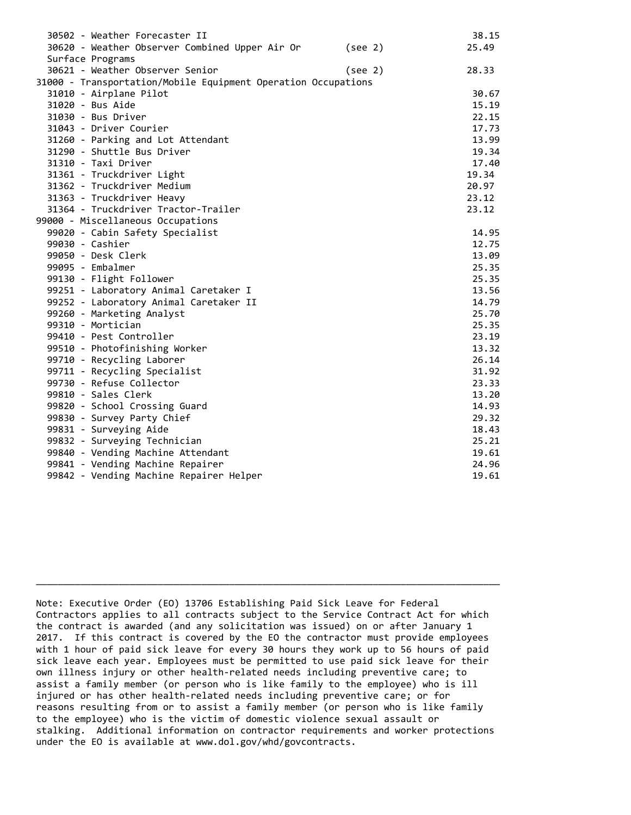| 30502 - Weather Forecaster II                                 |         | 38.15 |
|---------------------------------------------------------------|---------|-------|
| 30620 - Weather Observer Combined Upper Air Or                | (see 2) | 25.49 |
| Surface Programs                                              |         |       |
| 30621 - Weather Observer Senior                               | (see 2) | 28.33 |
| 31000 - Transportation/Mobile Equipment Operation Occupations |         |       |
| 31010 - Airplane Pilot                                        |         | 30.67 |
| 31020 - Bus Aide                                              |         | 15.19 |
| 31030 - Bus Driver                                            |         | 22.15 |
| 31043 - Driver Courier                                        |         | 17.73 |
| 31260 - Parking and Lot Attendant                             |         | 13.99 |
| 31290 - Shuttle Bus Driver                                    |         | 19.34 |
| 31310 - Taxi Driver                                           |         | 17.40 |
| 31361 - Truckdriver Light                                     |         | 19.34 |
| 31362 - Truckdriver Medium                                    |         | 20.97 |
| 31363 - Truckdriver Heavy                                     |         | 23.12 |
| 31364 - Truckdriver Tractor-Trailer                           |         | 23.12 |
| 99000 - Miscellaneous Occupations                             |         |       |
| 99020 - Cabin Safety Specialist                               |         | 14.95 |
| 99030 - Cashier                                               |         | 12.75 |
| 99050 - Desk Clerk                                            |         | 13.09 |
| 99095 - Embalmer                                              |         | 25.35 |
| 99130 - Flight Follower                                       |         | 25.35 |
| 99251 - Laboratory Animal Caretaker I                         |         | 13.56 |
| 99252 - Laboratory Animal Caretaker II                        |         | 14.79 |
| 99260 - Marketing Analyst                                     |         | 25.70 |
| 99310 - Mortician                                             |         | 25.35 |
| 99410 - Pest Controller                                       |         | 23.19 |
| 99510 - Photofinishing Worker                                 |         | 13.32 |
| 99710 - Recycling Laborer                                     |         | 26.14 |
| 99711 - Recycling Specialist                                  |         | 31.92 |
| 99730 - Refuse Collector                                      |         | 23.33 |
| 99810 - Sales Clerk                                           |         | 13.20 |
| 99820 - School Crossing Guard                                 |         | 14.93 |
| 99830 - Survey Party Chief                                    |         | 29.32 |
| 99831 - Surveying Aide                                        |         | 18.43 |
| 99832 - Surveying Technician                                  |         | 25.21 |
| 99840 - Vending Machine Attendant                             |         | 19.61 |
| 99841 - Vending Machine Repairer                              |         | 24.96 |
| 99842 - Vending Machine Repairer Helper                       |         | 19.61 |

Note: Executive Order (EO) 13706 Establishing Paid Sick Leave for Federal Contractors applies to all contracts subject to the Service Contract Act for which the contract is awarded (and any solicitation was issued) on or after January 1 2017. If this contract is covered by the EO the contractor must provide employees with 1 hour of paid sick leave for every 30 hours they work up to 56 hours of paid sick leave each year. Employees must be permitted to use paid sick leave for their own illness injury or other health-related needs including preventive care; to assist a family member (or person who is like family to the employee) who is ill injured or has other health-related needs including preventive care; or for reasons resulting from or to assist a family member (or person who is like family to the employee) who is the victim of domestic violence sexual assault or stalking. Additional information on contractor requirements and worker protections under the EO is available at www.dol.gov/whd/govcontracts.

\_\_\_\_\_\_\_\_\_\_\_\_\_\_\_\_\_\_\_\_\_\_\_\_\_\_\_\_\_\_\_\_\_\_\_\_\_\_\_\_\_\_\_\_\_\_\_\_\_\_\_\_\_\_\_\_\_\_\_\_\_\_\_\_\_\_\_\_\_\_\_\_\_\_\_\_\_\_\_\_\_\_\_\_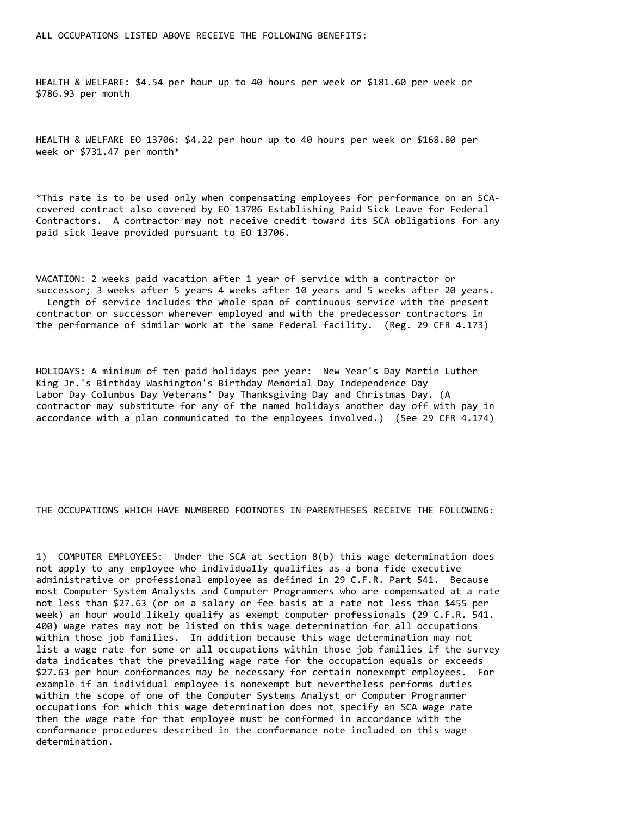HEALTH & WELFARE: \$4.54 per hour up to 40 hours per week or \$181.60 per week or \$786.93 per month

HEALTH & WELFARE EO 13706: \$4.22 per hour up to 40 hours per week or \$168.80 per week or \$731.47 per month\*

\*This rate is to be used only when compensating employees for performance on an SCAcovered contract also covered by EO 13706 Establishing Paid Sick Leave for Federal Contractors. A contractor may not receive credit toward its SCA obligations for any paid sick leave provided pursuant to EO 13706.

VACATION: 2 weeks paid vacation after 1 year of service with a contractor or successor; 3 weeks after 5 years 4 weeks after 10 years and 5 weeks after 20 years. Length of service includes the whole span of continuous service with the present contractor or successor wherever employed and with the predecessor contractors in the performance of similar work at the same Federal facility. (Reg. 29 CFR 4.173)

HOLIDAYS: A minimum of ten paid holidays per year: New Year's Day Martin Luther King Jr.'s Birthday Washington's Birthday Memorial Day Independence Day Labor Day Columbus Day Veterans' Day Thanksgiving Day and Christmas Day. (A contractor may substitute for any of the named holidays another day off with pay in accordance with a plan communicated to the employees involved.) (See 29 CFR 4.174)

THE OCCUPATIONS WHICH HAVE NUMBERED FOOTNOTES IN PARENTHESES RECEIVE THE FOLLOWING:

1) COMPUTER EMPLOYEES: Under the SCA at section 8(b) this wage determination does not apply to any employee who individually qualifies as a bona fide executive administrative or professional employee as defined in 29 C.F.R. Part 541. Because most Computer System Analysts and Computer Programmers who are compensated at a rate not less than \$27.63 (or on a salary or fee basis at a rate not less than \$455 per week) an hour would likely qualify as exempt computer professionals (29 C.F.R. 541. 400) wage rates may not be listed on this wage determination for all occupations within those job families. In addition because this wage determination may not list a wage rate for some or all occupations within those job families if the survey data indicates that the prevailing wage rate for the occupation equals or exceeds \$27.63 per hour conformances may be necessary for certain nonexempt employees. For example if an individual employee is nonexempt but nevertheless performs duties within the scope of one of the Computer Systems Analyst or Computer Programmer occupations for which this wage determination does not specify an SCA wage rate then the wage rate for that employee must be conformed in accordance with the conformance procedures described in the conformance note included on this wage determination.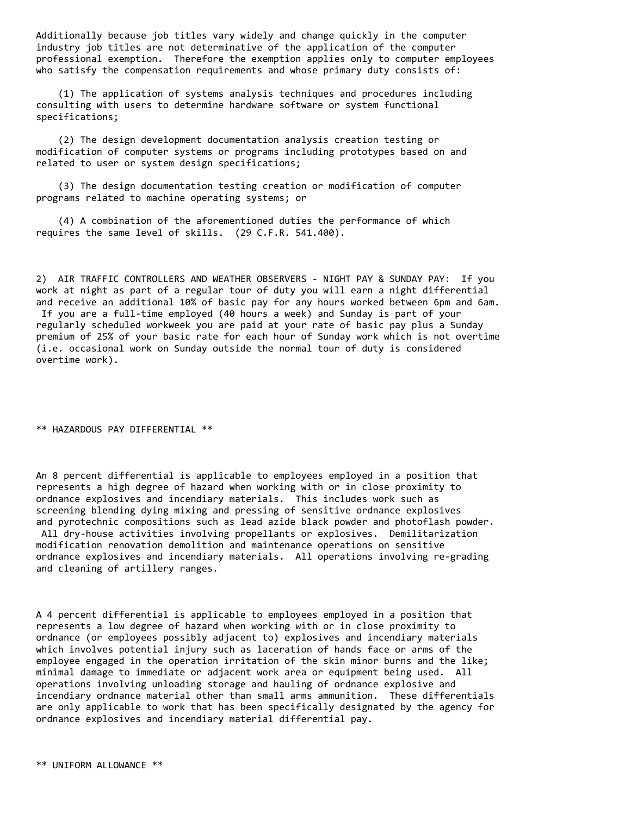Additionally because job titles vary widely and change quickly in the computer industry job titles are not determinative of the application of the computer professional exemption. Therefore the exemption applies only to computer employees who satisfy the compensation requirements and whose primary duty consists of:

 (1) The application of systems analysis techniques and procedures including consulting with users to determine hardware software or system functional specifications;

 (2) The design development documentation analysis creation testing or modification of computer systems or programs including prototypes based on and related to user or system design specifications;

 (3) The design documentation testing creation or modification of computer programs related to machine operating systems; or

 (4) A combination of the aforementioned duties the performance of which requires the same level of skills. (29 C.F.R. 541.400).

2) AIR TRAFFIC CONTROLLERS AND WEATHER OBSERVERS - NIGHT PAY & SUNDAY PAY: If you work at night as part of a regular tour of duty you will earn a night differential and receive an additional 10% of basic pay for any hours worked between 6pm and 6am. If you are a full-time employed (40 hours a week) and Sunday is part of your regularly scheduled workweek you are paid at your rate of basic pay plus a Sunday premium of 25% of your basic rate for each hour of Sunday work which is not overtime (i.e. occasional work on Sunday outside the normal tour of duty is considered overtime work).

\*\* HAZARDOUS PAY DIFFERENTIAL \*\*

An 8 percent differential is applicable to employees employed in a position that represents a high degree of hazard when working with or in close proximity to ordnance explosives and incendiary materials. This includes work such as screening blending dying mixing and pressing of sensitive ordnance explosives and pyrotechnic compositions such as lead azide black powder and photoflash powder. All dry-house activities involving propellants or explosives. Demilitarization modification renovation demolition and maintenance operations on sensitive ordnance explosives and incendiary materials. All operations involving re-grading and cleaning of artillery ranges.

A 4 percent differential is applicable to employees employed in a position that represents a low degree of hazard when working with or in close proximity to ordnance (or employees possibly adjacent to) explosives and incendiary materials which involves potential injury such as laceration of hands face or arms of the employee engaged in the operation irritation of the skin minor burns and the like; minimal damage to immediate or adjacent work area or equipment being used. All operations involving unloading storage and hauling of ordnance explosive and incendiary ordnance material other than small arms ammunition. These differentials are only applicable to work that has been specifically designated by the agency for ordnance explosives and incendiary material differential pay.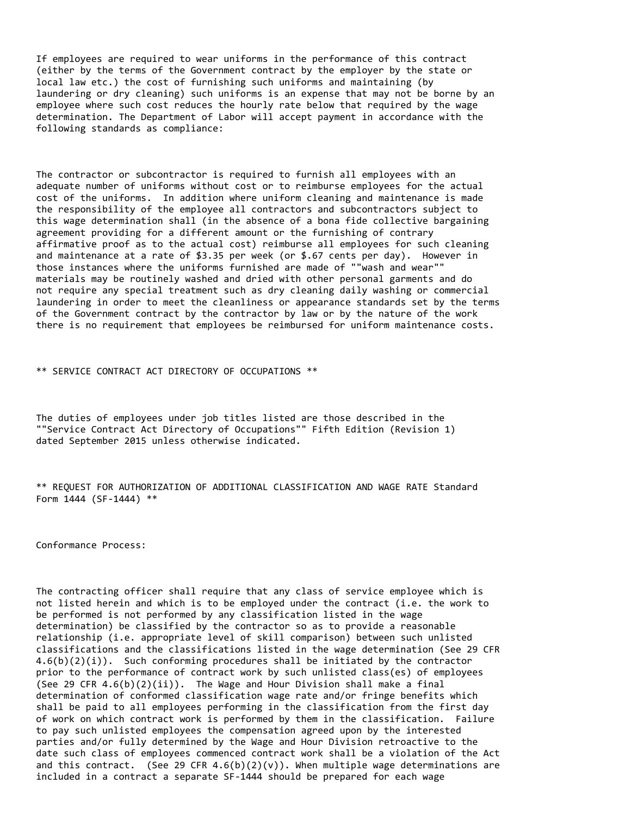If employees are required to wear uniforms in the performance of this contract (either by the terms of the Government contract by the employer by the state or local law etc.) the cost of furnishing such uniforms and maintaining (by laundering or dry cleaning) such uniforms is an expense that may not be borne by an employee where such cost reduces the hourly rate below that required by the wage determination. The Department of Labor will accept payment in accordance with the following standards as compliance:

The contractor or subcontractor is required to furnish all employees with an adequate number of uniforms without cost or to reimburse employees for the actual cost of the uniforms. In addition where uniform cleaning and maintenance is made the responsibility of the employee all contractors and subcontractors subject to this wage determination shall (in the absence of a bona fide collective bargaining agreement providing for a different amount or the furnishing of contrary affirmative proof as to the actual cost) reimburse all employees for such cleaning and maintenance at a rate of \$3.35 per week (or \$.67 cents per day). However in those instances where the uniforms furnished are made of ""wash and wear"" materials may be routinely washed and dried with other personal garments and do not require any special treatment such as dry cleaning daily washing or commercial laundering in order to meet the cleanliness or appearance standards set by the terms of the Government contract by the contractor by law or by the nature of the work there is no requirement that employees be reimbursed for uniform maintenance costs.

\*\* SERVICE CONTRACT ACT DIRECTORY OF OCCUPATIONS \*\*

The duties of employees under job titles listed are those described in the ""Service Contract Act Directory of Occupations"" Fifth Edition (Revision 1) dated September 2015 unless otherwise indicated.

\*\* REQUEST FOR AUTHORIZATION OF ADDITIONAL CLASSIFICATION AND WAGE RATE Standard Form 1444 (SF-1444) \*\*

Conformance Process:

The contracting officer shall require that any class of service employee which is not listed herein and which is to be employed under the contract (i.e. the work to be performed is not performed by any classification listed in the wage determination) be classified by the contractor so as to provide a reasonable relationship (i.e. appropriate level of skill comparison) between such unlisted classifications and the classifications listed in the wage determination (See 29 CFR  $4.6(b)(2)(i)$ . Such conforming procedures shall be initiated by the contractor prior to the performance of contract work by such unlisted class(es) of employees (See 29 CFR  $4.6(b)(2)(ii)$ ). The Wage and Hour Division shall make a final determination of conformed classification wage rate and/or fringe benefits which shall be paid to all employees performing in the classification from the first day of work on which contract work is performed by them in the classification. Failure to pay such unlisted employees the compensation agreed upon by the interested parties and/or fully determined by the Wage and Hour Division retroactive to the date such class of employees commenced contract work shall be a violation of the Act and this contract. (See 29 CFR  $4.6(b)(2)(v)$ ). When multiple wage determinations are included in a contract a separate SF-1444 should be prepared for each wage